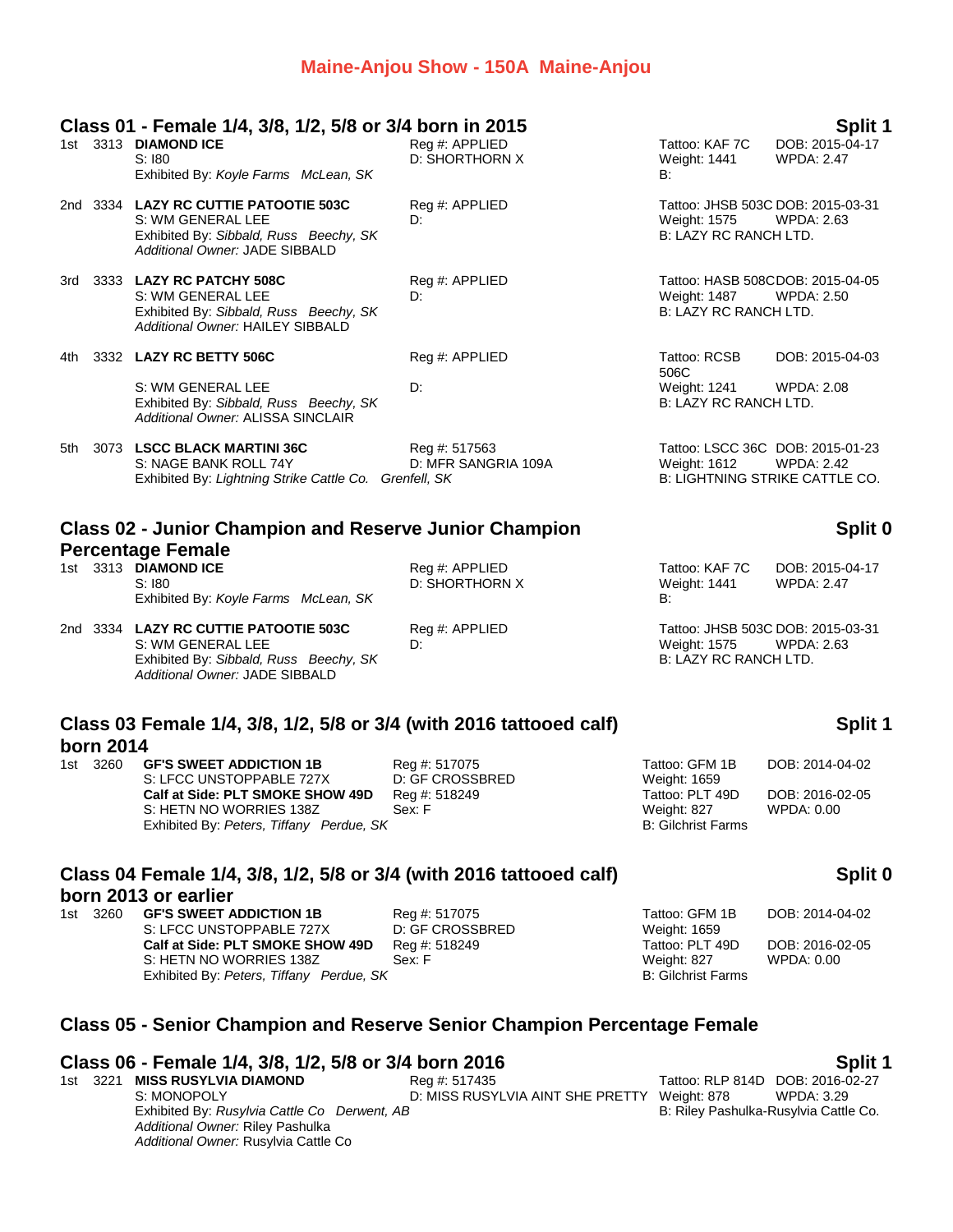### **Maine-Anjou Show - 150A Maine-Anjou**

| Class 01 - Female 1/4, 3/8, 1/2, 5/8 or 3/4 born in 2015 | Split 1 |
|----------------------------------------------------------|---------|
|                                                          |         |

|     |      | <u> CIASS UT - I GINAIG 174, JO, 174, JO UI JP DUTILIII ZUTJ</u>                                                                       |                                      |                                       | opiit                                                                                          |
|-----|------|----------------------------------------------------------------------------------------------------------------------------------------|--------------------------------------|---------------------------------------|------------------------------------------------------------------------------------------------|
|     |      | 1st 3313 DIAMOND ICE<br>S:180<br>Exhibited By: Koyle Farms McLean, SK                                                                  | Reg #: APPLIED<br>D: SHORTHORN X     | Tattoo: KAF 7C<br>Weight: 1441<br>B:  | DOB: 2015-04-17<br><b>WPDA: 2.47</b>                                                           |
|     |      | 2nd 3334 LAZY RC CUTTIE PATOOTIE 503C<br>S: WM GENERAL LEE<br>Exhibited By: Sibbald, Russ Beechy, SK<br>Additional Owner: JADE SIBBALD | Reg #: APPLIED<br>D:                 | Weight: 1575<br>B: LAZY RC RANCH LTD. | Tattoo: JHSB 503C DOB: 2015-03-31<br><b>WPDA: 2.63</b>                                         |
| 3rd | 3333 | <b>LAZY RC PATCHY 508C</b><br>S: WM GENERAL LEE<br>Exhibited By: Sibbald, Russ Beechy, SK<br>Additional Owner: HAILEY SIBBALD          | Reg #: APPLIED<br>D:                 | Weight: 1487<br>B: LAZY RC RANCH LTD. | Tattoo: HASB 508CDOB: 2015-04-05<br>WPDA: 2.50                                                 |
| 4th |      | 3332 LAZY RC BETTY 506C                                                                                                                | Reg #: APPLIED                       | Tattoo: RCSB<br>506C                  | DOB: 2015-04-03                                                                                |
|     |      | S: WM GENERAL LEE<br>Exhibited By: Sibbald, Russ Beechy, SK<br>Additional Owner: ALISSA SINCLAIR                                       | D:                                   | Weight: 1241<br>B: LAZY RC RANCH LTD. | WPDA: 2.08                                                                                     |
| 5th |      | 3073 LSCC BLACK MARTINI 36C<br>S: NAGE BANK ROLL 74Y<br>Exhibited By: Lightning Strike Cattle Co. Grenfell, SK                         | Reg #: 517563<br>D: MFR SANGRIA 109A | Weight: 1612                          | Tattoo: LSCC 36C DOB: 2015-01-23<br><b>WPDA: 2.42</b><br><b>B: LIGHTNING STRIKE CATTLE CO.</b> |
|     |      | <b>Class 02 - Junior Champion and Reserve Junior Champion</b>                                                                          |                                      |                                       | Split (                                                                                        |

### **Percentage Female**

1st 3313 **DIAMOND ICE** Reg #: APPLIED Tattoo: KAF 7C DOB: 2015-04-17<br>S: I80 S: I80 B: SHORTHORN X Weight: 1441 WPDA: 2.47 S: 180 D: SHORTHORN X Exhibited By: *Koyle Farms McLean, SK* B:

2nd 3334 **LAZY RC CUTTIE PATOOTIE 503C** Reg #: APPLIED Tattoo: JHSB 503C DOB: 2015-03-31 *Additional Owner:* JADE SIBBALD

S: WM GENERAL LEE **D:** D: D: D: Weight: 1575 WPDA: 2.63<br>
Exhibited By: Sibbald, Russ Beechy, SK D: D: D: B: LAZY RC RANCH LTD. Exhibited By: Sibbald, Russ Beechy, SK

### **Class 03 Female 1/4, 3/8, 1/2, 5/8 or 3/4 (with 2016 tattooed calf) born 2014**

1st 3260 **GF'S SWEET ADDICTION 1B** Reg #: 517075 Tattoo: GFM 1B DOB: 2014-04-02 S: LFCC UNSTOPPABLE 727X D: GF CROSSBRED Weight: 1659<br>
Calf at Side: PLT SMOKE SHOW 49D Reg #: 518249 Tratioo: PLT 49D **Calf at Side: PLT SMOKE SHOW 49D** Reg #: 518249 Tattoo: PLT 49D DOB: 2016-02-05 S: HETN NO WORRIES 138Z Sex: F Sex: F Weight: 827 WPDA: 0.00 Exhibited By: *Peters, Tiffany Perdue, SK* B: Gilchrist Farms

### **Class 04 Female 1/4, 3/8, 1/2, 5/8 or 3/4 (with 2016 tattooed calf) born 2013 or earlier**

1st 3260 **GF'S SWEET ADDICTION 1B** Reg #: 517075 Tattoo: GFM 1B DOB: 2014-04-02 S: LFCC UNSTOPPABLE 727X D: GF CROSSBRED Weight: 1659 **Calf at Side: PLT SMOKE SHOW 49D** Reg #: 518249 Tattoo: PLT 49D DOB: 2016-02-05 S: HETN NO WORRIES 138Z Sex: F Weight: 827 WPDA: 0.00 Exhibited By: Peters, Tiffany Perdue, SK B: Gilchrist Farms

*Additional Owner:* Riley Pashulka *Additional Owner:* Rusylvia Cattle Co

### **Split 0**

### **Split 1**

### **Split 0**

### **Class 05 - Senior Champion and Reserve Senior Champion Percentage Female**

## **Class 06 - Female 1/4, 3/8, 1/2, 5/8 or 3/4 born 2016 Split 1**

1st 3221 **MISS RUSYLVIA DIAMOND** Reg #: 517435

Exhibited By: Rusylvia Cattle Co Derwent, AB

S: MONOPOLY **D: MISS RUSYLVIA AINT SHE PRETTY** Weight: 878 WPDA: 3.29<br>Exhibited By: Rusylvia Cattle Co Derwent, AB B: Riley Pashulka-Rusylvia Cattle Co.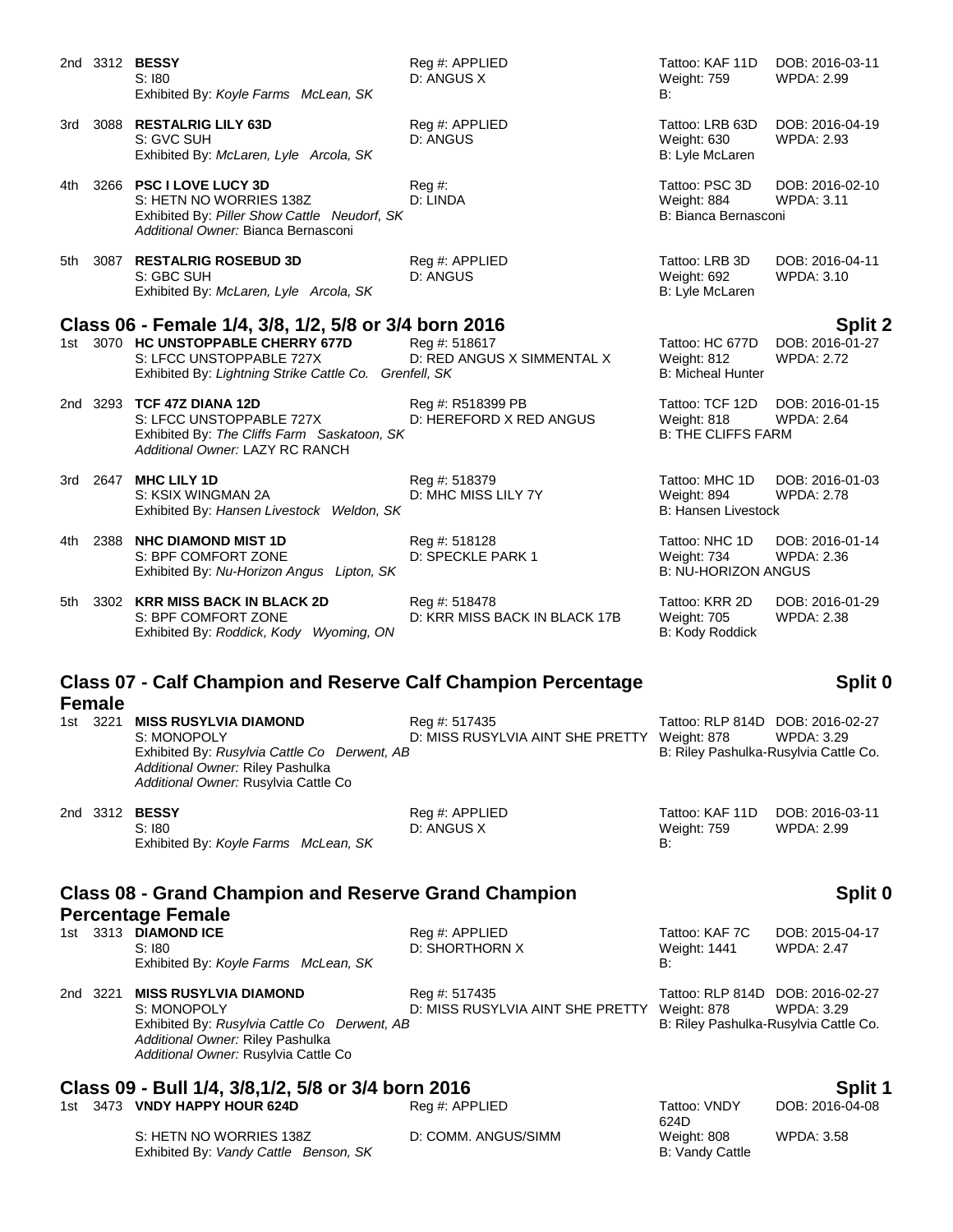|       |                                                                                                  | 2nd 3312 <b>BESSY</b><br>S:180<br>Exhibited By: Koyle Farms McLean, SK                                                                                                  | Reg #: APPLIED<br>D: ANGUS X                                  | Tattoo: KAF 11D<br><b>Weight: 759</b><br>B:                               | DOB: 2016-03-11<br><b>WPDA: 2.99</b> |  |
|-------|--------------------------------------------------------------------------------------------------|-------------------------------------------------------------------------------------------------------------------------------------------------------------------------|---------------------------------------------------------------|---------------------------------------------------------------------------|--------------------------------------|--|
| 3rd   |                                                                                                  | 3088 RESTALRIG LILY 63D<br>S: GVC SUH<br>Exhibited By: McLaren, Lyle Arcola, SK                                                                                         | Reg #: APPLIED<br>D: ANGUS                                    | Tattoo: LRB 63D<br>Weight: 630<br>B: Lyle McLaren                         | DOB: 2016-04-19<br>WPDA: 2.93        |  |
| 4th   |                                                                                                  | 3266 PSC I LOVE LUCY 3D<br>S: HETN NO WORRIES 138Z<br>Exhibited By: Piller Show Cattle Neudorf, SK<br>Additional Owner: Bianca Bernasconi                               | Reg#<br>D: LINDA                                              | Tattoo: PSC 3D<br>Weight: 884<br>B: Bianca Bernasconi                     | DOB: 2016-02-10<br><b>WPDA: 3.11</b> |  |
| 5th   |                                                                                                  | 3087 RESTALRIG ROSEBUD 3D<br>S: GBC SUH<br>Exhibited By: McLaren, Lyle Arcola, SK                                                                                       | Reg #: APPLIED<br>D: ANGUS                                    | Tattoo: LRB 3D<br>Weight: 692<br>B: Lyle McLaren                          | DOB: 2016-04-11<br><b>WPDA: 3.10</b> |  |
|       |                                                                                                  | Class 06 - Female 1/4, 3/8, 1/2, 5/8 or 3/4 born 2016                                                                                                                   |                                                               |                                                                           | <b>Split 2</b>                       |  |
|       |                                                                                                  | 1st 3070 HC UNSTOPPABLE CHERRY 677D<br>S: LFCC UNSTOPPABLE 727X<br>Exhibited By: Lightning Strike Cattle Co. Grenfell, SK                                               | Reg #: 518617<br>D: RED ANGUS X SIMMENTAL X                   | Tattoo: HC 677D<br>Weight: 812<br><b>B: Micheal Hunter</b>                | DOB: 2016-01-27<br>WPDA: 2.72        |  |
|       |                                                                                                  | 2nd 3293 TCF 47Z DIANA 12D<br>S: LFCC UNSTOPPABLE 727X<br>Exhibited By: The Cliffs Farm Saskatoon, SK<br>Additional Owner: LAZY RC RANCH                                | Reg #: R518399 PB<br>D: HEREFORD X RED ANGUS                  | Tattoo: TCF 12D<br>Weight: 818<br><b>B: THE CLIFFS FARM</b>               | DOB: 2016-01-15<br><b>WPDA: 2.64</b> |  |
|       |                                                                                                  | 3rd 2647 MHC LILY 1D<br>S: KSIX WINGMAN 2A<br>Exhibited By: Hansen Livestock Weldon, SK                                                                                 | Reg #: 518379<br>D: MHC MISS LILY 7Y                          | Tattoo: MHC 1D<br>Weight: 894<br><b>B: Hansen Livestock</b>               | DOB: 2016-01-03<br><b>WPDA: 2.78</b> |  |
| 4th l |                                                                                                  | 2388 NHC DIAMOND MIST 1D<br>S: BPF COMFORT ZONE<br>Exhibited By: Nu-Horizon Angus Lipton, SK                                                                            | Reg #: 518128<br>D: SPECKLE PARK 1                            | Tattoo: NHC 1D<br>Weight: 734<br><b>B: NU-HORIZON ANGUS</b>               | DOB: 2016-01-14<br>WPDA: 2.36        |  |
|       |                                                                                                  | 5th 3302 KRR MISS BACK IN BLACK 2D<br>S: BPF COMFORT ZONE<br>Exhibited By: Roddick, Kody Wyoming, ON                                                                    | Reg #: 518478<br>D: KRR MISS BACK IN BLACK 17B                | Tattoo: KRR 2D<br><b>Weight: 705</b><br>B: Kody Roddick                   | DOB: 2016-01-29<br><b>WPDA: 2.38</b> |  |
|       | <b>Class 07 - Calf Champion and Reserve Calf Champion Percentage</b><br>Split 0<br><b>Female</b> |                                                                                                                                                                         |                                                               |                                                                           |                                      |  |
|       | 1st 3221                                                                                         | <b>MISS RUSYLVIA DIAMOND</b><br>S: MONOPOLY<br>Exhibited By: Rusylvia Cattle Co Derwent, AB<br>Additional Owner: Riley Pashulka<br>Additional Owner: Rusylvia Cattle Co | Reg #: 517435<br>D: MISS RUSYLVIA AINT SHE PRETTY Weight: 878 | Tattoo: RLP 814D DOB: 2016-02-27<br>B: Riley Pashulka-Rusylvia Cattle Co. | WPDA: 3.29                           |  |
|       |                                                                                                  | 2nd 3312 <b>BESSY</b><br>S:180<br>Exhibited By: Koyle Farms McLean, SK                                                                                                  | Reg #: APPLIED<br>D: ANGUS X                                  | Tattoo: KAF 11D<br>Weight: 759<br>В:                                      | DOB: 2016-03-11<br>WPDA: 2.99        |  |
|       |                                                                                                  | <b>Class 08 - Grand Champion and Reserve Grand Champion</b>                                                                                                             |                                                               |                                                                           | Split 0                              |  |
|       |                                                                                                  | <b>Percentage Female</b>                                                                                                                                                |                                                               |                                                                           |                                      |  |
|       |                                                                                                  | 1st 3313 DIAMOND ICE<br>S:180<br>Exhibited By: Koyle Farms McLean, SK                                                                                                   | Reg #: APPLIED<br>D: SHORTHORN X                              | Tattoo: KAF 7C<br><b>Weight: 1441</b><br>В:                               | DOB: 2015-04-17<br><b>WPDA: 2.47</b> |  |

2nd 3221 **MISS RUSYLVIA DIAMOND** Reg #: 517435 Tattoo: RLP 814D DOB: 2016-02-27 S: MONOPOLY D: MISS RUSYLVIA AINT SHE PRETTY Weight: 878 WPDA: 3.29<br>Exhibited By: Rusylvia Cattle Co Derwent, AB B: Riley Pashulka-Rusylvia Cattle Co. Exhibited By: Rusylvia Cattle Co Derwent, AB *Additional Owner:* Riley Pashulka *Additional Owner:* Rusylvia Cattle Co

# **Class 09 - Bull 1/4, 3/8,1/2, 5/8 or 3/4 born 2016**<br>1st 3473 VNDY HAPPY HOUR 624D Reg #: APPLIED Tattoo: VNDY DOB: 2016-04-08

1st 3473 **VNDY HAPPY HOUR 624D** 

S: HETN NO WORRIES 138Z D: COMM. ANGUS/SIMM Weight: 808 WPDA: 3.58<br>
Exhibited By: Vandy Cattle Benson, SK B: Vandy Cattle Exhibited By: Vandy Cattle Benson, SK

624D<br>Weight: 808

DOB: 2016-04-08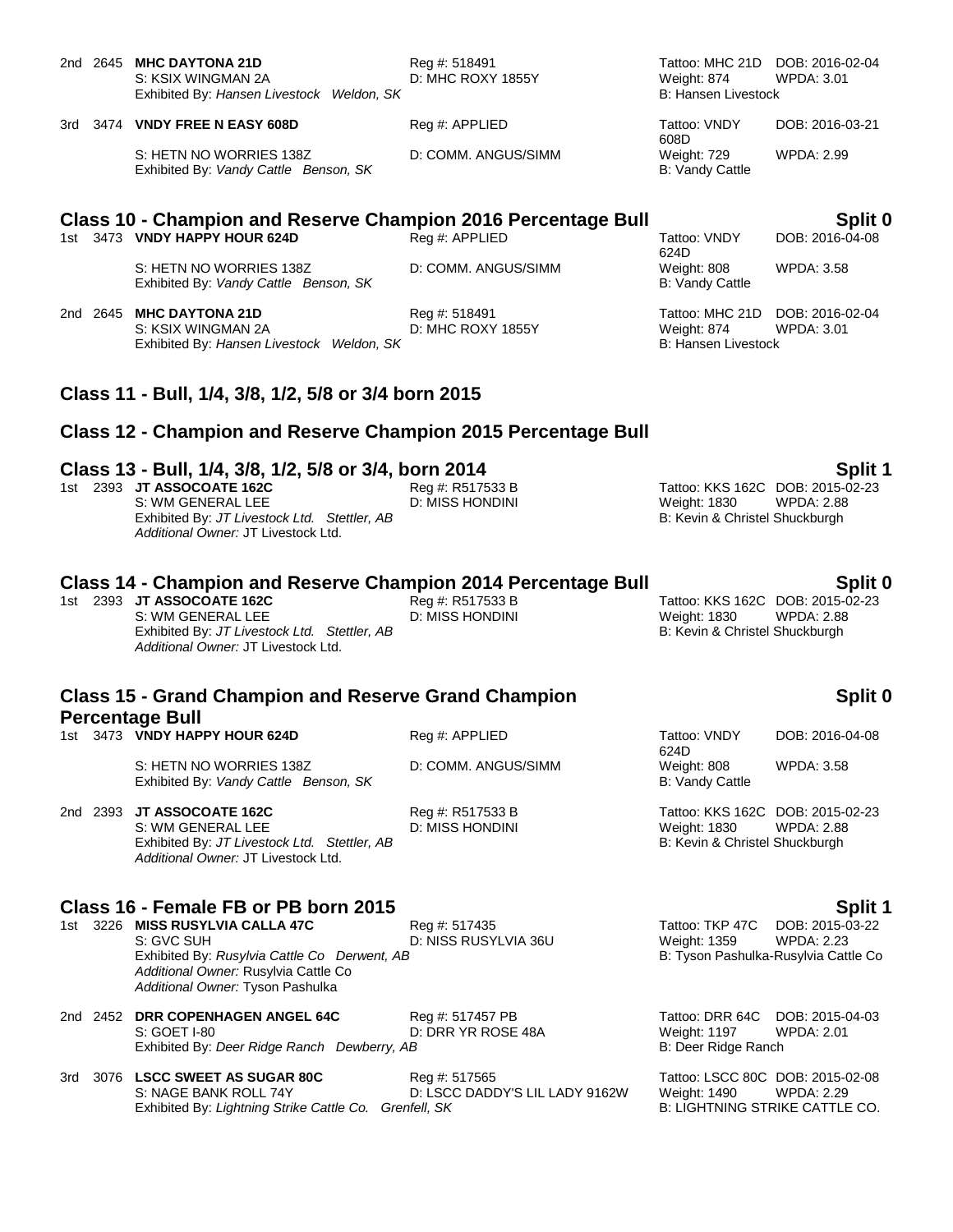|                                                                                       |          | 2nd 2645 MHC DAYTONA 21D<br>S: KSIX WINGMAN 2A<br>Exhibited By: Hansen Livestock Weldon, SK                                                                                                                    | Reg #: 518491<br>D: MHC ROXY 1855Y              | Tattoo: MHC 21D DOB: 2016-02-04<br>Weight: 874<br><b>B: Hansen Livestock</b>              | WPDA: 3.01                                                                              |
|---------------------------------------------------------------------------------------|----------|----------------------------------------------------------------------------------------------------------------------------------------------------------------------------------------------------------------|-------------------------------------------------|-------------------------------------------------------------------------------------------|-----------------------------------------------------------------------------------------|
|                                                                                       |          | 3rd 3474 VNDY FREE N EASY 608D                                                                                                                                                                                 | Reg #: APPLIED                                  | Tattoo: VNDY<br>608D                                                                      | DOB: 2016-03-21                                                                         |
|                                                                                       |          | S: HETN NO WORRIES 138Z<br>Exhibited By: Vandy Cattle Benson, SK                                                                                                                                               | D: COMM. ANGUS/SIMM                             | Weight: 729<br><b>B: Vandy Cattle</b>                                                     | WPDA: 2.99                                                                              |
|                                                                                       |          | <b>Class 10 - Champion and Reserve Champion 2016 Percentage Bull</b>                                                                                                                                           |                                                 |                                                                                           | Split 0                                                                                 |
|                                                                                       |          | 1st 3473 VNDY HAPPY HOUR 624D                                                                                                                                                                                  | Reg #: APPLIED                                  | Tattoo: VNDY<br>624D                                                                      | DOB: 2016-04-08                                                                         |
|                                                                                       |          | S: HETN NO WORRIES 138Z<br>Exhibited By: Vandy Cattle Benson, SK                                                                                                                                               | D: COMM. ANGUS/SIMM                             | Weight: 808<br>B: Vandy Cattle                                                            | WPDA: 3.58                                                                              |
|                                                                                       |          | 2nd 2645 MHC DAYTONA 21D<br>S: KSIX WINGMAN 2A<br>Exhibited By: Hansen Livestock Weldon, SK                                                                                                                    | Reg #: 518491<br>D: MHC ROXY 1855Y              | Tattoo: MHC 21D<br>Weight: 874<br><b>B: Hansen Livestock</b>                              | DOB: 2016-02-04<br><b>WPDA: 3.01</b>                                                    |
|                                                                                       |          | Class 11 - Bull, 1/4, 3/8, 1/2, 5/8 or 3/4 born 2015                                                                                                                                                           |                                                 |                                                                                           |                                                                                         |
|                                                                                       |          | <b>Class 12 - Champion and Reserve Champion 2015 Percentage Bull</b>                                                                                                                                           |                                                 |                                                                                           |                                                                                         |
|                                                                                       |          | Class 13 - Bull, 1/4, 3/8, 1/2, 5/8 or 3/4, born 2014<br>1st 2393 JT ASSOCOATE 162C<br>S: WM GENERAL LEE<br>Exhibited By: JT Livestock Ltd. Stettler, AB<br>Additional Owner: JT Livestock Ltd.                | Reg #: R517533 B<br>D: MISS HONDINI             | Tattoo: KKS 162C DOB: 2015-02-23<br><b>Weight: 1830</b><br>B: Kevin & Christel Shuckburgh | Split 1<br><b>WPDA: 2.88</b>                                                            |
|                                                                                       |          | <b>Class 14 - Champion and Reserve Champion 2014 Percentage Bull</b><br>1st 2393 JT ASSOCOATE 162C<br>S: WM GENERAL LEE<br>Exhibited By: JT Livestock Ltd. Stettler, AB<br>Additional Owner: JT Livestock Ltd. | Reg #: R517533 B<br><b>D: MISS HONDINI</b>      | Tattoo: KKS 162C DOB: 2015-02-23<br>Weight: 1830<br>B: Kevin & Christel Shuckburgh        | Split 0<br><b>WPDA: 2.88</b>                                                            |
| <b>Class 15 - Grand Champion and Reserve Grand Champion</b><br><b>Percentage Bull</b> |          |                                                                                                                                                                                                                |                                                 |                                                                                           | Split 0                                                                                 |
|                                                                                       |          | 1st 3473 VNDY HAPPY HOUR 624D                                                                                                                                                                                  | Reg #: APPLIED                                  | Tattoo: VNDY                                                                              | DOB: 2016-04-08                                                                         |
|                                                                                       |          | S: HETN NO WORRIES 138Z<br>Exhibited By: Vandy Cattle Benson, SK                                                                                                                                               | D: COMM. ANGUS/SIMM                             | 624D<br>Weight: 808<br><b>B: Vandy Cattle</b>                                             | <b>WPDA: 3.58</b>                                                                       |
|                                                                                       | 2nd 2393 | JT ASSOCOATE 162C<br>S: WM GENERAL LEE<br>Exhibited By: JT Livestock Ltd. Stettler, AB<br>Additional Owner: JT Livestock Ltd.                                                                                  | Reg #: R517533 B<br><b>D: MISS HONDINI</b>      | Tattoo: KKS 162C DOB: 2015-02-23<br><b>Weight: 1830</b><br>B: Kevin & Christel Shuckburgh | <b>WPDA: 2.88</b>                                                                       |
| 1st l                                                                                 |          | Class 16 - Female FB or PB born 2015<br>3226 MISS RUSYLVIA CALLA 47C<br>S: GVC SUH<br>Exhibited By: Rusylvia Cattle Co Derwent, AB<br>Additional Owner: Rusylvia Cattle Co<br>Additional Owner: Tyson Pashulka | Reg #: 517435<br>D: NISS RUSYLVIA 36U           | Tattoo: TKP 47C<br>Weight: 1359                                                           | Split 1<br>DOB: 2015-03-22<br><b>WPDA: 2.23</b><br>B: Tyson Pashulka-Rusylvia Cattle Co |
|                                                                                       | 2nd 2452 | <b>DRR COPENHAGEN ANGEL 64C</b><br>S: GOET I-80<br>Exhibited By: Deer Ridge Ranch Dewberry, AB                                                                                                                 | Reg #: 517457 PB<br>D: DRR YR ROSE 48A          | Tattoo: DRR 64C<br>Weight: 1197<br>B: Deer Ridge Ranch                                    | DOB: 2015-04-03<br><b>WPDA: 2.01</b>                                                    |
| 3rd                                                                                   |          | 3076 LSCC SWEET AS SUGAR 80C<br>S: NAGE BANK ROLL 74Y<br>Exhibited By: Lightning Strike Cattle Co. Grenfell, SK                                                                                                | Reg #: 517565<br>D: LSCC DADDY'S LIL LADY 9162W | Tattoo: LSCC 80C DOB: 2015-02-08<br>Weight: 1490                                          | <b>WPDA: 2.29</b><br>B: LIGHTNING STRIKE CATTLE CO.                                     |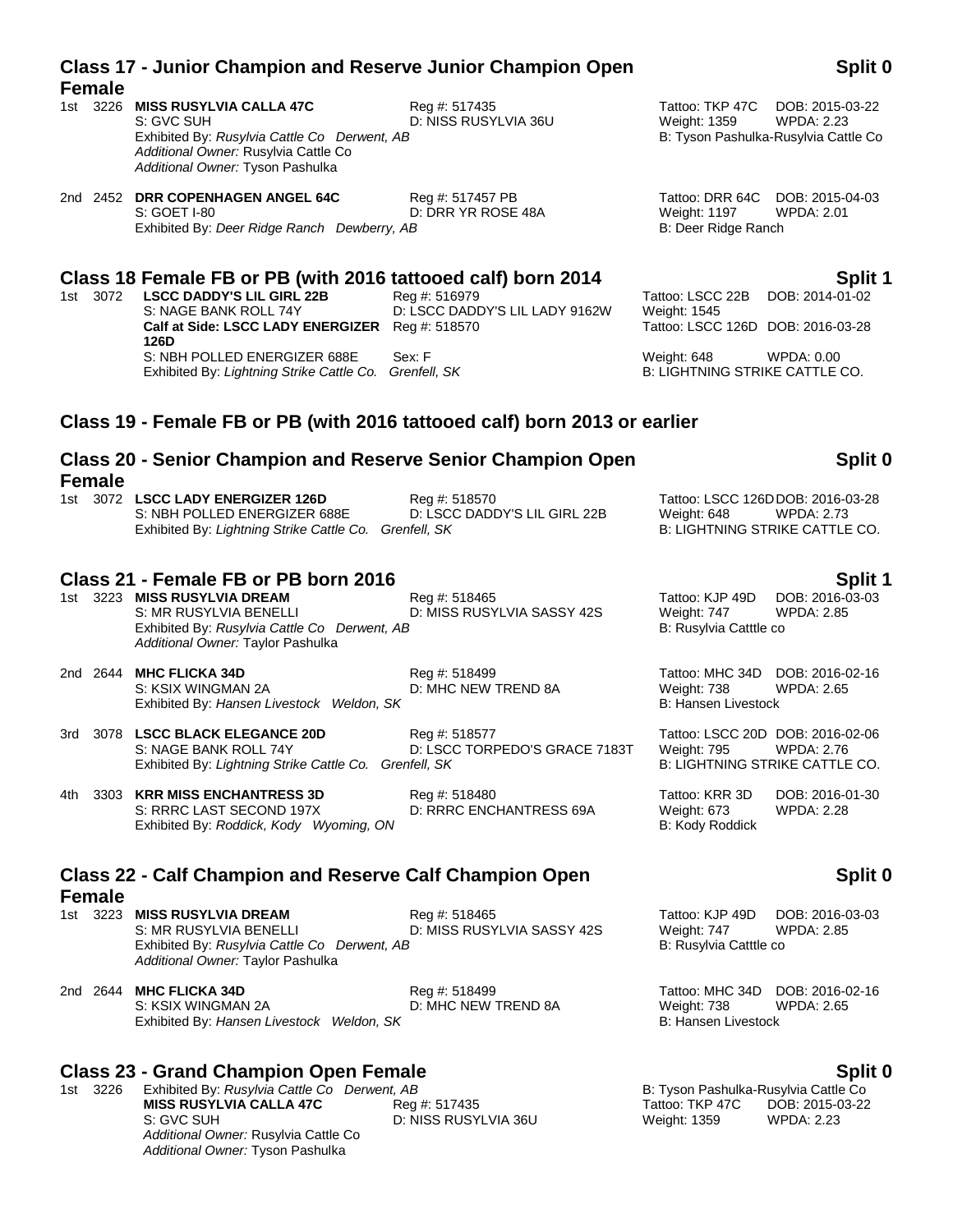|       |               |                                                                                                                                                                                                                                                                                |                                                           | D. Door muyo nanon                                                                                                            |                                                                                                |
|-------|---------------|--------------------------------------------------------------------------------------------------------------------------------------------------------------------------------------------------------------------------------------------------------------------------------|-----------------------------------------------------------|-------------------------------------------------------------------------------------------------------------------------------|------------------------------------------------------------------------------------------------|
|       | 1st 3072      | Class 18 Female FB or PB (with 2016 tattooed calf) born 2014<br><b>LSCC DADDY'S LIL GIRL 22B</b><br>S: NAGE BANK ROLL 74Y<br>Calf at Side: LSCC LADY ENERGIZER Req #: 518570<br>126D<br>S: NBH POLLED ENERGIZER 688E<br>Exhibited By: Lightning Strike Cattle Co. Grenfell, SK | Reg #: 516979<br>D: LSCC DADDY'S LIL LADY 9162W<br>Sex: F | Tattoo: LSCC 22B<br>Weight: 1545<br>Tattoo: LSCC 126D DOB: 2016-03-28<br>Weight: 648<br><b>B: LIGHTNING STRIKE CATTLE CO.</b> | Split 1<br>DOB: 2014-01-02<br><b>WPDA: 0.00</b>                                                |
|       |               | Class 19 - Female FB or PB (with 2016 tattooed calf) born 2013 or earlier                                                                                                                                                                                                      |                                                           |                                                                                                                               |                                                                                                |
|       | <b>Female</b> | <b>Class 20 - Senior Champion and Reserve Senior Champion Open</b>                                                                                                                                                                                                             |                                                           |                                                                                                                               | Split 0                                                                                        |
|       |               | 1st 3072 LSCC LADY ENERGIZER 126D<br>S: NBH POLLED ENERGIZER 688E<br>Exhibited By: Lightning Strike Cattle Co. Grenfell, SK                                                                                                                                                    | Reg #: 518570<br>D: LSCC DADDY'S LIL GIRL 22B             | Weight: 648                                                                                                                   | Tattoo: LSCC 126DDOB: 2016-03-28<br><b>WPDA: 2.73</b><br><b>B: LIGHTNING STRIKE CATTLE CO.</b> |
|       |               | Class 21 - Female FB or PB born 2016<br>1st 3223 MISS RUSYLVIA DREAM<br>S: MR RUSYLVIA BENELLI<br>Exhibited By: Rusylvia Cattle Co Derwent, AB<br>Additional Owner: Taylor Pashulka                                                                                            | Reg #: 518465<br>D: MISS RUSYLVIA SASSY 42S               | Tattoo: KJP 49D<br>Weight: 747<br>B: Rusylvia Catttle co                                                                      | Split 1<br>DOB: 2016-03-03<br><b>WPDA: 2.85</b>                                                |
|       |               | 2nd 2644 MHC FLICKA 34D<br>S: KSIX WINGMAN 2A<br>Exhibited By: Hansen Livestock Weldon, SK                                                                                                                                                                                     | Reg #: 518499<br>D: MHC NEW TREND 8A                      | Tattoo: MHC 34D<br>Weight: 738<br><b>B: Hansen Livestock</b>                                                                  | DOB: 2016-02-16<br><b>WPDA: 2.65</b>                                                           |
|       |               | 3rd 3078 LSCC BLACK ELEGANCE 20D<br>S: NAGE BANK ROLL 74Y<br>Exhibited By: Lightning Strike Cattle Co. Grenfell, SK                                                                                                                                                            | Reg #: 518577<br>D: LSCC TORPEDO'S GRACE 7183T            | Weight: 795                                                                                                                   | Tattoo: LSCC 20D DOB: 2016-02-06<br><b>WPDA: 2.76</b><br><b>B: LIGHTNING STRIKE CATTLE CO.</b> |
| 4th - |               | 3303 KRR MISS ENCHANTRESS 3D<br>S: RRRC LAST SECOND 197X<br>Exhibited By: Roddick, Kody Wyoming, ON                                                                                                                                                                            | Reg #: 518480<br>D: RRRC ENCHANTRESS 69A                  | Tattoo: KRR 3D<br>Weight: 673<br>B: Kody Roddick                                                                              | DOB: 2016-01-30<br><b>WPDA: 2.28</b>                                                           |
|       | <b>Female</b> | <b>Class 22 - Calf Champion and Reserve Calf Champion Open</b>                                                                                                                                                                                                                 |                                                           |                                                                                                                               | Split 0                                                                                        |
|       |               | 1st 3223 MISS RUSYLVIA DREAM<br>S: MR RUSYLVIA BENELLI<br>Exhibited By: Rusylvia Cattle Co Derwent, AB<br>Additional Owner: Taylor Pashulka                                                                                                                                    | Reg #: 518465<br>D: MISS RUSYLVIA SASSY 42S               | Tattoo: KJP 49D<br>Weight: 747<br>B: Rusylvia Catttle co                                                                      | DOB: 2016-03-03<br><b>WPDA: 2.85</b>                                                           |

### 2nd 2644 **MHC FLICKA 34D** Reg #: 518499 Tattoo: MHC 34D DOB: 2016-02-16 S: KSIX WINGMAN 2A **D: MHC NEW TREND 8A** Weight: 738 WPDA: 2.65 Exhibited By: *Hansen Livestock Weldon, SK* **B: Hansen Livestock** B: Hansen Livestock

### **Class 23 - Grand Champion Open Female Split 0 Split 0 Split 0 Split 0 Split 0 Split 0 Split 0 Split 0 Split 0 Split 0 Split 0 Split 0 Split 0 Split 0 Split 0 Split 0 Split 0 Split 0 S**

1st 3226 Exhibited By: *Rusylvia Cattle Co Derwent, AB* B: Tyson Pashulka-Rusylvia Cattle Co Derwent, AB<br>**MISS RUSYLVIA CALLA 47C** Reg #: 517435 **Bill Constant Constant Constant Constant Constant Constant Constant Con MISS RUSYLVIA CALLA 47C** S: GVC SUH D: NISS RUSYLVIA 36U Weight: 1359 WPDA: 2.23 *Additional Owner:* Rusylvia Cattle Co *Additional Owner:* Tyson Pashulka

# S: GVC SUH D: NISS RUSYLVIA 36U Weight: 1359 WPDA: 2.23

**Split 0**

### **Class 17 - Junior Champion and Reserve Junior Champion Open Female**

- 1st 3226 **MISS RUSYLVIA CALLA 47C** Reg #: 517435 **Tattoo: TKP 47C** DOB: 2015-03-22<br>S: GVC SUH D: NISS RUSYLVIA 36U Weight: 1359 WPDA: 2.23 Exhibited By: Rusylvia Cattle Co Derwent, AB *Additional Owner:* Rusylvia Cattle Co *Additional Owner:* Tyson Pashulka
- 2nd 2452 **DRR COPENHAGEN ANGEL 64C** Reg #: 517457 PB Tattoo: DRR 64C DOB: 2015-04-03<br>S: GOET I-80 S: COET I-80 B: DRR YR ROSE 48A Weight: 1197 WPDA: 2.01 S: GOET I-80 **D: DRR YR ROSE 48A** Weight: 1197 W<br>Exhibited By: *Deer Ridge Ranch Dewherry AR* B: Deer Ridge Ranch Exhibited By: *Deer Ridge Ranch Dewberry, AB*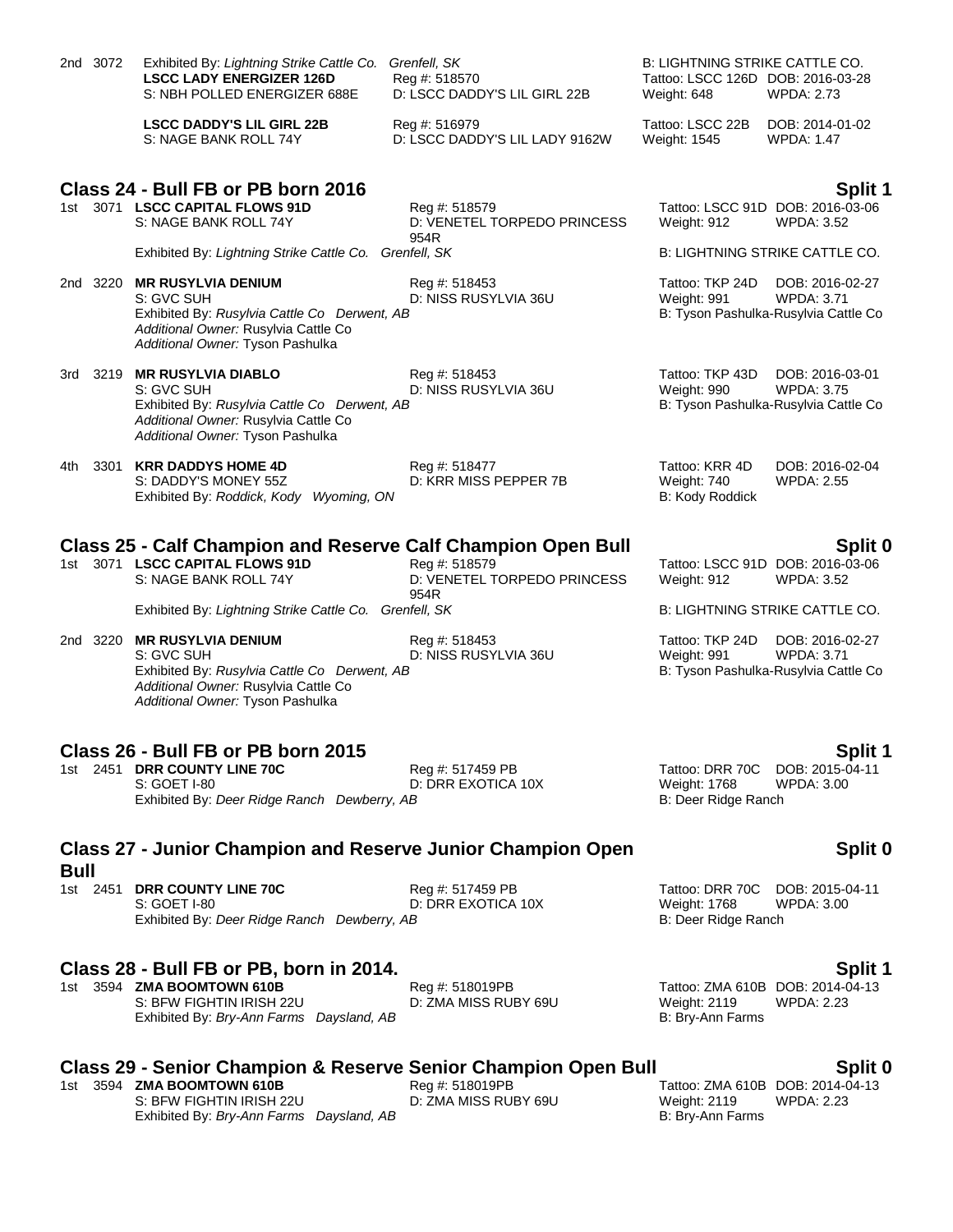|             | 2nd 3072 | Exhibited By: Lightning Strike Cattle Co.<br><b>LSCC LADY ENERGIZER 126D</b><br>S: NBH POLLED ENERGIZER 688E                                                        | Grenfell, SK<br>Reg #: 518570<br>D: LSCC DADDY'S LIL GIRL 22B | B: LIGHTNING STRIKE CATTLE CO.<br>Tattoo: LSCC 126D DOB: 2016-03-28<br>Weight: 648 | <b>WPDA: 2.73</b>                                                            |
|-------------|----------|---------------------------------------------------------------------------------------------------------------------------------------------------------------------|---------------------------------------------------------------|------------------------------------------------------------------------------------|------------------------------------------------------------------------------|
|             |          | <b>LSCC DADDY'S LIL GIRL 22B</b><br>S: NAGE BANK ROLL 74Y                                                                                                           | Reg #: 516979<br>D: LSCC DADDY'S LIL LADY 9162W               | Tattoo: LSCC 22B<br>Weight: 1545                                                   | DOB: 2014-01-02<br><b>WPDA: 1.47</b>                                         |
|             |          |                                                                                                                                                                     |                                                               |                                                                                    |                                                                              |
|             |          | Class 24 - Bull FB or PB born 2016<br>1st 3071 LSCC CAPITAL FLOWS 91D<br>S: NAGE BANK ROLL 74Y                                                                      | Reg #: 518579<br>D: VENETEL TORPEDO PRINCESS                  | Weight: 912                                                                        | Split 1<br>Tattoo: LSCC 91D DOB: 2016-03-06<br><b>WPDA: 3.52</b>             |
|             |          | Exhibited By: Lightning Strike Cattle Co. Grenfell, SK                                                                                                              | 954R                                                          | B: LIGHTNING STRIKE CATTLE CO.                                                     |                                                                              |
|             | 2nd 3220 | <b>MR RUSYLVIA DENIUM</b><br>S: GVC SUH<br>Exhibited By: Rusylvia Cattle Co Derwent, AB<br>Additional Owner: Rusylvia Cattle Co<br>Additional Owner: Tyson Pashulka | Reg #: 518453<br>D: NISS RUSYLVIA 36U                         | Tattoo: TKP 24D<br>Weight: 991                                                     | DOB: 2016-02-27<br><b>WPDA: 3.71</b><br>B: Tyson Pashulka-Rusylvia Cattle Co |
| 3rd -       |          | 3219 MR RUSYLVIA DIABLO<br>S: GVC SUH<br>Exhibited By: Rusylvia Cattle Co Derwent, AB<br>Additional Owner: Rusylvia Cattle Co<br>Additional Owner: Tyson Pashulka   | Reg #: 518453<br>D: NISS RUSYLVIA 36U                         | Tattoo: TKP 43D<br><b>Weight: 990</b>                                              | DOB: 2016-03-01<br><b>WPDA: 3.75</b><br>B: Tyson Pashulka-Rusylvia Cattle Co |
| 4th.        | 3301     | <b>KRR DADDYS HOME 4D</b><br>S: DADDY'S MONEY 55Z<br>Exhibited By: Roddick, Kody Wyoming, ON                                                                        | Reg #: 518477<br>D: KRR MISS PEPPER 7B                        | Tattoo: KRR 4D<br>Weight: 740<br>B: Kody Roddick                                   | DOB: 2016-02-04<br><b>WPDA: 2.55</b>                                         |
|             |          | <b>Class 25 - Calf Champion and Reserve Calf Champion Open Bull</b>                                                                                                 |                                                               |                                                                                    | Split 0                                                                      |
| 1st l       |          | 3071 LSCC CAPITAL FLOWS 91D<br>S: NAGE BANK ROLL 74Y                                                                                                                | Reg #: 518579<br>D: VENETEL TORPEDO PRINCESS<br>954R          | Weight: 912                                                                        | Tattoo: LSCC 91D DOB: 2016-03-06<br>WPDA: 3.52                               |
|             |          | Exhibited By: Lightning Strike Cattle Co. Grenfell, SK                                                                                                              |                                                               |                                                                                    | B: LIGHTNING STRIKE CATTLE CO.                                               |
|             | 2nd 3220 | <b>MR RUSYLVIA DENIUM</b><br>S: GVC SUH<br>Exhibited By: Rusylvia Cattle Co Derwent, AB<br>Additional Owner: Rusylvia Cattle Co<br>Additional Owner: Tyson Pashulka | Reg #: 518453<br>D: NISS RUSYLVIA 36U                         | Tattoo: TKP 24D<br>Weight: 991                                                     | DOB: 2016-02-27<br><b>WPDA: 3.71</b><br>B: Tyson Pashulka-Rusylvia Cattle Co |
|             |          |                                                                                                                                                                     |                                                               |                                                                                    |                                                                              |
|             |          | Class 26 - Bull FB or PB born 2015<br>1st 2451 DRR COUNTY LINE 70C<br>S: GOET I-80<br>Exhibited By: Deer Ridge Ranch Dewberry, AB                                   | Reg #: 517459 PB<br>D: DRR EXOTICA 10X                        | Tattoo: DRR 70C<br><b>Weight: 1768</b><br>B: Deer Ridge Ranch                      | Split 1<br>DOB: 2015-04-11<br>WPDA: 3.00                                     |
|             |          | <b>Class 27 - Junior Champion and Reserve Junior Champion Open</b>                                                                                                  |                                                               |                                                                                    | Split 0                                                                      |
| <b>Bull</b> | 1st 2451 | DRR COUNTY LINE 70C                                                                                                                                                 |                                                               | Tattoo: DRR 70C                                                                    |                                                                              |
|             |          | S: GOET I-80<br>Exhibited By: Deer Ridge Ranch Dewberry, AB                                                                                                         | Reg #: 517459 PB<br>D: DRR EXOTICA 10X                        | Weight: 1768<br>B: Deer Ridge Ranch                                                | DOB: 2015-04-11<br>WPDA: 3.00                                                |
|             |          | Class 28 - Bull FB or PB, born in 2014.                                                                                                                             |                                                               |                                                                                    | <b>Split 1</b>                                                               |

1st 3594 **ZMA BOOMTOWN 610B** Reg #: 518019PB Tattoo: ZMA 610B DOB: 2014-04-13<br>S: BFW FIGHTIN IRISH 22U D: ZMA MISS RUBY 69U Weight: 2119 WPDA: 2.23 S: BFW FIGHTIN IRISH 22U D: ZMA MISS RUBY 69U Weight: 2119<br>Exhibited By: *Bry-Ann Farms Daysland, AB* B: Bry-Ann Farms Exhibited By: Bry-Ann Farms Daysland, AB

# **Class 29 - Senior Champion & Reserve Senior Champion Open Bull**<br>1st 3594 ZMA BOOMTOWN 610B Reg #: 518019PB Tattoo: ZMA 610B DOB: 2014-04-13

1st 3594 **ZMA BOOMTOWN 610B** S: BFW FIGHTIN IRISH 22U D: ZMA MISS RUBY 69U Weight: 2119 WPDA: 2.23 Exhibited By: *Bry-Ann Farms Daysland, AB* B: Bry-Ann Farms